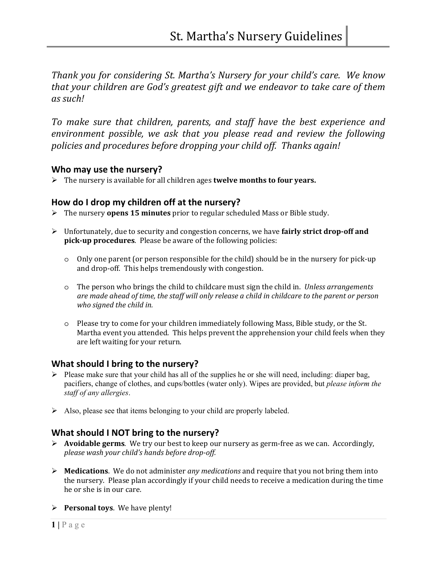*Thank you for considering St. Martha's Nursery for your child's care. We know that your children are God's greatest gift and we endeavor to take care of them as such!* 

*To make sure that children, parents, and staff have the best experience and environment possible, we ask that you please read and review the following policies and procedures before dropping your child off. Thanks again!* 

#### **Who may use the nursery?**

The nursery is available for all children ages **twelve months to four years.**

#### **How do I drop my children off at the nursery?**

- The nursery **opens 15 minutes** prior to regular scheduled Mass or Bible study.
- Unfortunately, due to security and congestion concerns, we have **fairly strict drop-off and pick-up procedures**. Please be aware of the following policies:
	- o Only one parent (or person responsible for the child) should be in the nursery for pick-up and drop-off. This helps tremendously with congestion.
	- o The person who brings the child to childcare must sign the child in. *Unless arrangements are made ahead of time, the staff will only release a child in childcare to the parent or person who signed the child in.*
	- o Please try to come for your children immediately following Mass, Bible study, or the St. Martha event you attended. This helps prevent the apprehension your child feels when they are left waiting for your return.

# **What should I bring to the nursery?**

- $\triangleright$  Please make sure that your child has all of the supplies he or she will need, including: diaper bag, pacifiers, change of clothes, and cups/bottles (water only). Wipes are provided, but *please inform the staff of any allergies*.
- $\triangleright$  Also, please see that items belonging to your child are properly labeled.

# **What should I NOT bring to the nursery?**

- **Avoidable germs**. We try our best to keep our nursery as germ-free as we can. Accordingly, *please wash your child's hands before drop-off.*
- **Medications**. We do not administer *any medications* and require that you not bring them into the nursery. Please plan accordingly if your child needs to receive a medication during the time he or she is in our care.
- **Personal toys**. We have plenty!